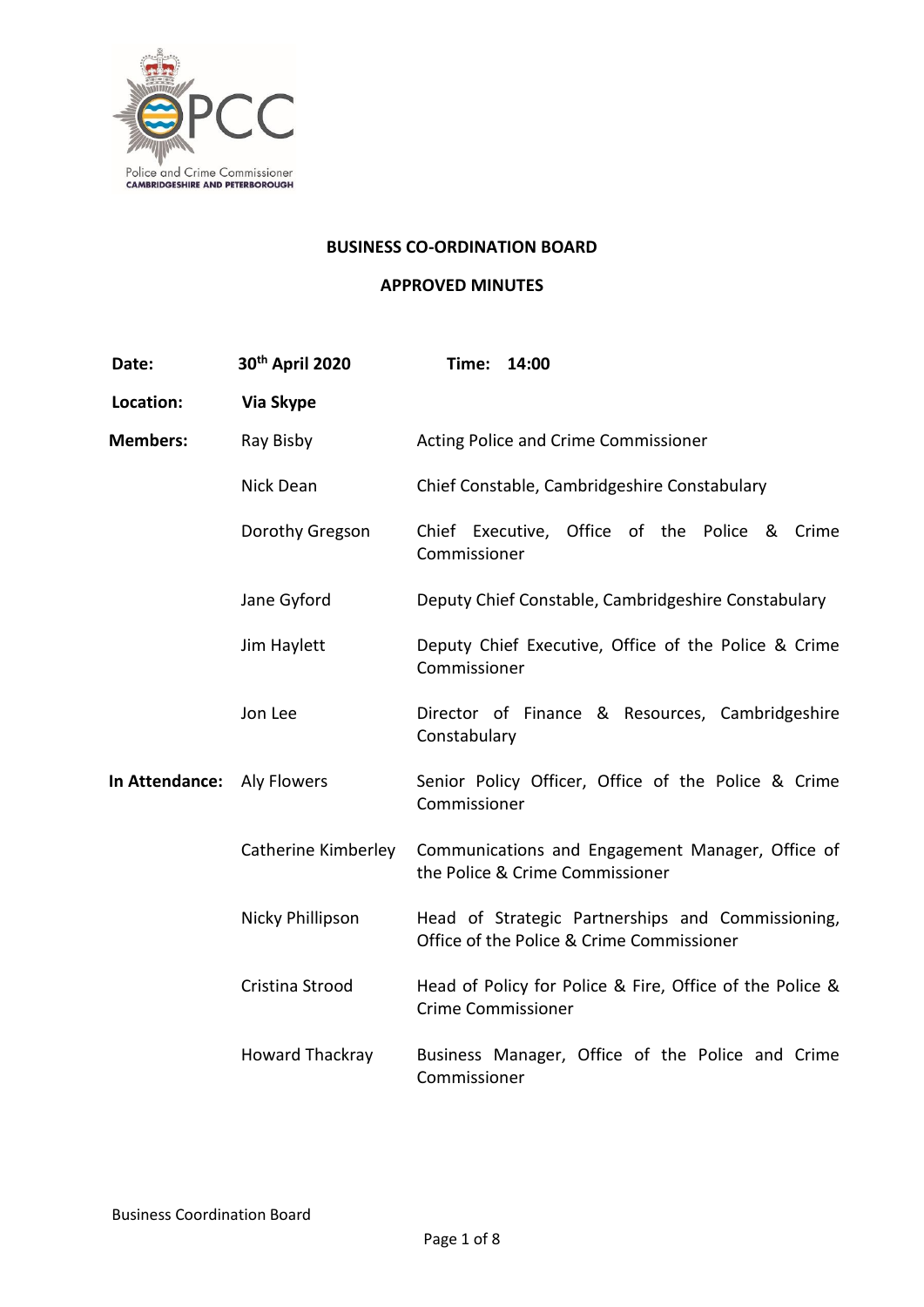

#### **BUSINESS CO-ORDINATION BOARD**

### **APPROVED MINUTES**

| Date:                      | 30th April 2020        | Time:<br>14:00                                                                                 |
|----------------------------|------------------------|------------------------------------------------------------------------------------------------|
| Location:                  | Via Skype              |                                                                                                |
| <b>Members:</b>            | Ray Bisby              | Acting Police and Crime Commissioner                                                           |
|                            | Nick Dean              | Chief Constable, Cambridgeshire Constabulary                                                   |
|                            | Dorothy Gregson        | Chief Executive, Office of the Police &<br>Crime<br>Commissioner                               |
|                            | Jane Gyford            | Deputy Chief Constable, Cambridgeshire Constabulary                                            |
|                            | Jim Haylett            | Deputy Chief Executive, Office of the Police & Crime<br>Commissioner                           |
|                            | Jon Lee                | Director of Finance & Resources, Cambridgeshire<br>Constabulary                                |
| In Attendance: Aly Flowers |                        | Senior Policy Officer, Office of the Police & Crime<br>Commissioner                            |
|                            | Catherine Kimberley    | Communications and Engagement Manager, Office of<br>the Police & Crime Commissioner            |
|                            | Nicky Phillipson       | Head of Strategic Partnerships and Commissioning,<br>Office of the Police & Crime Commissioner |
|                            | Cristina Strood        | Head of Policy for Police & Fire, Office of the Police &<br><b>Crime Commissioner</b>          |
|                            | <b>Howard Thackray</b> | Business Manager, Office of the Police and Crime<br>Commissioner                               |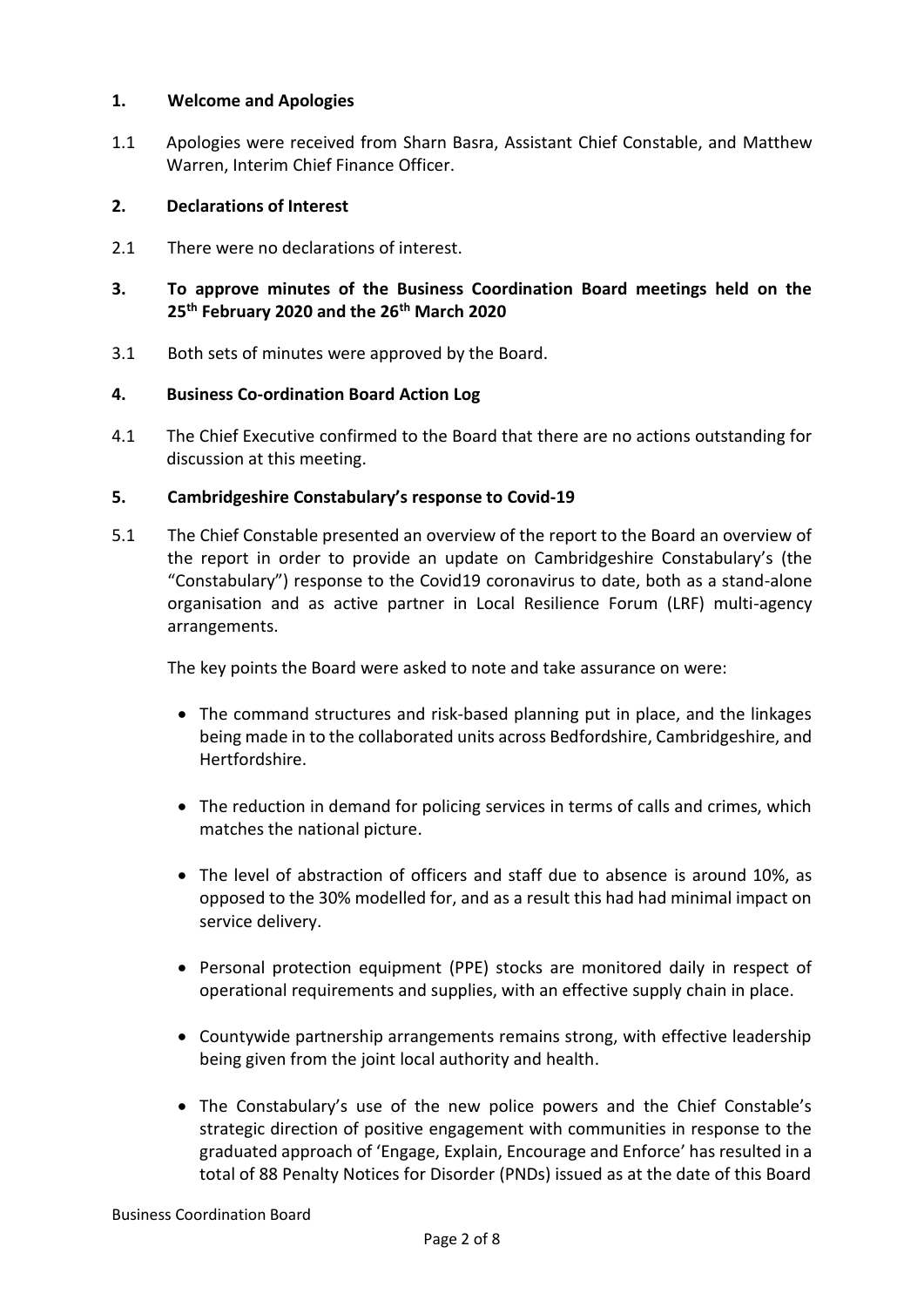## **1. Welcome and Apologies**

1.1 Apologies were received from Sharn Basra, Assistant Chief Constable, and Matthew Warren, Interim Chief Finance Officer.

## **2. Declarations of Interest**

2.1 There were no declarations of interest.

# **3. To approve minutes of the Business Coordination Board meetings held on the 25th February 2020 and the 26th March 2020**

3.1 Both sets of minutes were approved by the Board.

## **4. Business Co-ordination Board Action Log**

4.1 The Chief Executive confirmed to the Board that there are no actions outstanding for discussion at this meeting.

## **5. Cambridgeshire Constabulary's response to Covid-19**

5.1 The Chief Constable presented an overview of the report to the Board an overview of the report in order to provide an update on Cambridgeshire Constabulary's (the "Constabulary") response to the Covid19 coronavirus to date, both as a stand-alone organisation and as active partner in Local Resilience Forum (LRF) multi-agency arrangements.

The key points the Board were asked to note and take assurance on were:

- The command structures and risk-based planning put in place, and the linkages being made in to the collaborated units across Bedfordshire, Cambridgeshire, and Hertfordshire.
- The reduction in demand for policing services in terms of calls and crimes, which matches the national picture.
- The level of abstraction of officers and staff due to absence is around 10%, as opposed to the 30% modelled for, and as a result this had had minimal impact on service delivery.
- Personal protection equipment (PPE) stocks are monitored daily in respect of operational requirements and supplies, with an effective supply chain in place.
- Countywide partnership arrangements remains strong, with effective leadership being given from the joint local authority and health.
- The Constabulary's use of the new police powers and the Chief Constable's strategic direction of positive engagement with communities in response to the graduated approach of 'Engage, Explain, Encourage and Enforce' has resulted in a total of 88 Penalty Notices for Disorder (PNDs) issued as at the date of this Board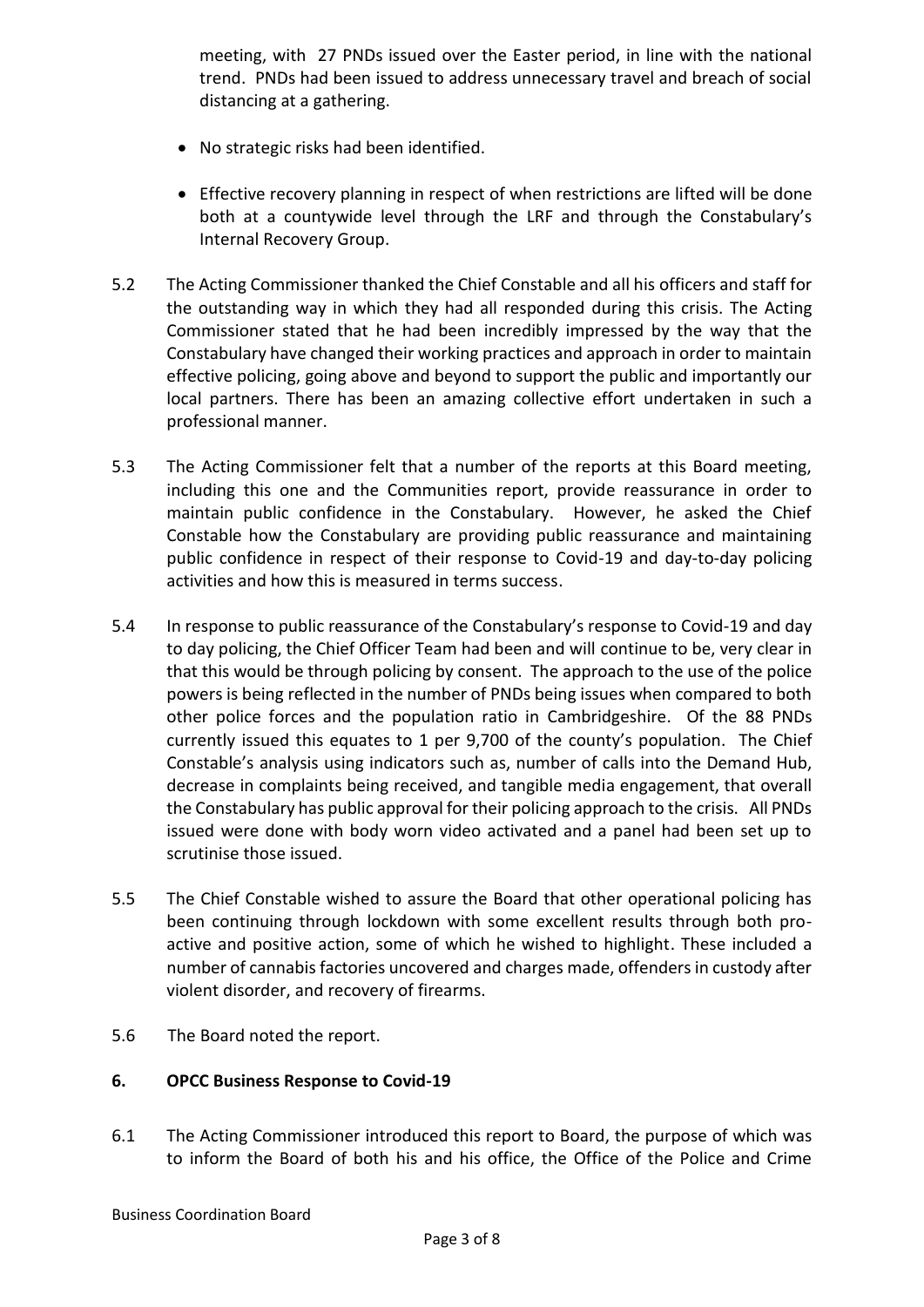meeting, with 27 PNDs issued over the Easter period, in line with the national trend. PNDs had been issued to address unnecessary travel and breach of social distancing at a gathering.

- No strategic risks had been identified.
- Effective recovery planning in respect of when restrictions are lifted will be done both at a countywide level through the LRF and through the Constabulary's Internal Recovery Group.
- 5.2 The Acting Commissioner thanked the Chief Constable and all his officers and staff for the outstanding way in which they had all responded during this crisis. The Acting Commissioner stated that he had been incredibly impressed by the way that the Constabulary have changed their working practices and approach in order to maintain effective policing, going above and beyond to support the public and importantly our local partners. There has been an amazing collective effort undertaken in such a professional manner.
- 5.3 The Acting Commissioner felt that a number of the reports at this Board meeting, including this one and the Communities report, provide reassurance in order to maintain public confidence in the Constabulary. However, he asked the Chief Constable how the Constabulary are providing public reassurance and maintaining public confidence in respect of their response to Covid-19 and day-to-day policing activities and how this is measured in terms success.
- 5.4 In response to public reassurance of the Constabulary's response to Covid-19 and day to day policing, the Chief Officer Team had been and will continue to be, very clear in that this would be through policing by consent. The approach to the use of the police powers is being reflected in the number of PNDs being issues when compared to both other police forces and the population ratio in Cambridgeshire. Of the 88 PNDs currently issued this equates to 1 per 9,700 of the county's population. The Chief Constable's analysis using indicators such as, number of calls into the Demand Hub, decrease in complaints being received, and tangible media engagement, that overall the Constabulary has public approval for their policing approach to the crisis. All PNDs issued were done with body worn video activated and a panel had been set up to scrutinise those issued.
- 5.5 The Chief Constable wished to assure the Board that other operational policing has been continuing through lockdown with some excellent results through both proactive and positive action, some of which he wished to highlight. These included a number of cannabis factories uncovered and charges made, offenders in custody after violent disorder, and recovery of firearms.
- 5.6 The Board noted the report.

#### **6. OPCC Business Response to Covid-19**

6.1 The Acting Commissioner introduced this report to Board, the purpose of which was to inform the Board of both his and his office, the Office of the Police and Crime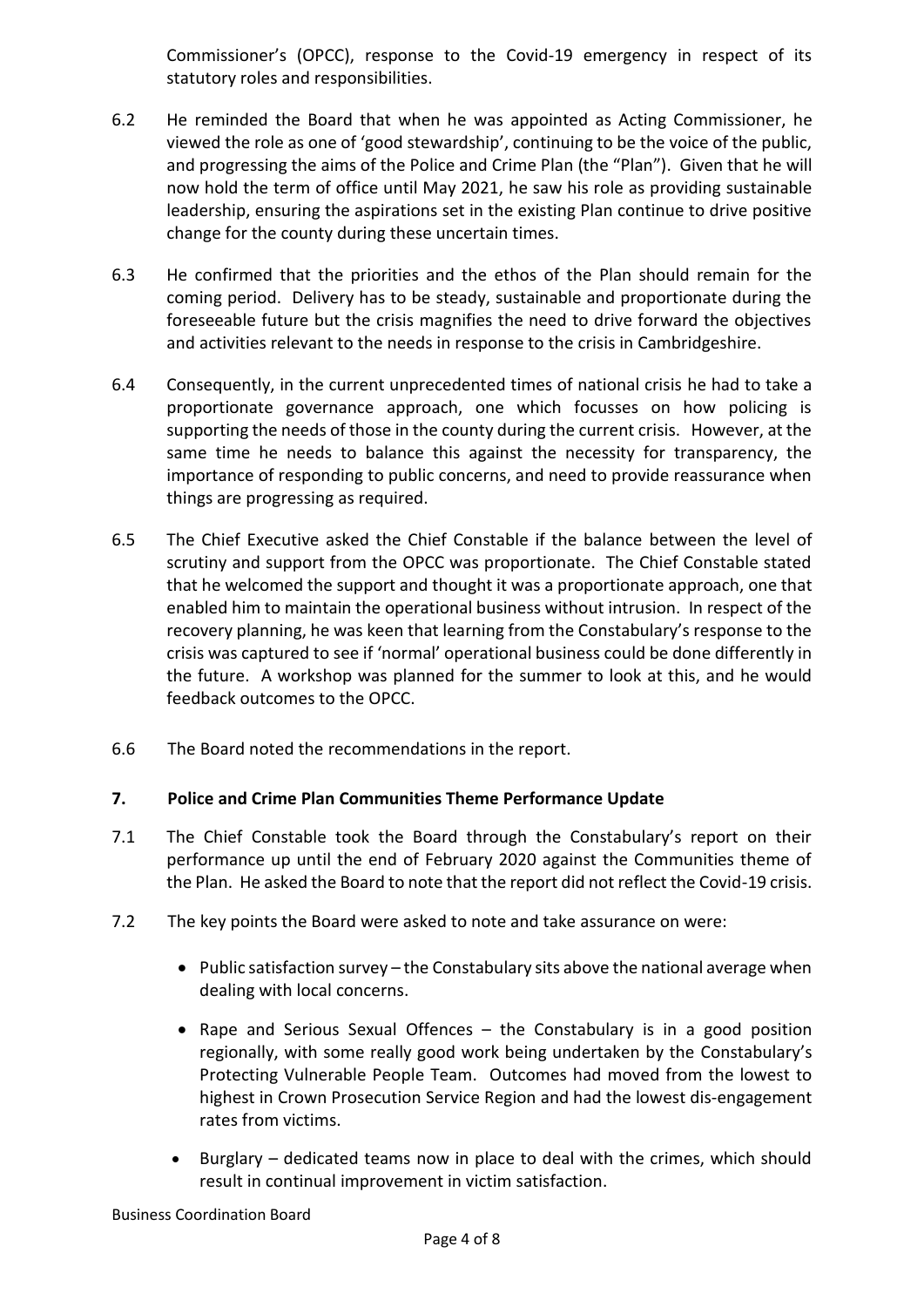Commissioner's (OPCC), response to the Covid-19 emergency in respect of its statutory roles and responsibilities.

- 6.2 He reminded the Board that when he was appointed as Acting Commissioner, he viewed the role as one of 'good stewardship', continuing to be the voice of the public, and progressing the aims of the Police and Crime Plan (the "Plan"). Given that he will now hold the term of office until May 2021, he saw his role as providing sustainable leadership, ensuring the aspirations set in the existing Plan continue to drive positive change for the county during these uncertain times.
- 6.3 He confirmed that the priorities and the ethos of the Plan should remain for the coming period. Delivery has to be steady, sustainable and proportionate during the foreseeable future but the crisis magnifies the need to drive forward the objectives and activities relevant to the needs in response to the crisis in Cambridgeshire.
- 6.4 Consequently, in the current unprecedented times of national crisis he had to take a proportionate governance approach, one which focusses on how policing is supporting the needs of those in the county during the current crisis. However, at the same time he needs to balance this against the necessity for transparency, the importance of responding to public concerns, and need to provide reassurance when things are progressing as required.
- 6.5 The Chief Executive asked the Chief Constable if the balance between the level of scrutiny and support from the OPCC was proportionate. The Chief Constable stated that he welcomed the support and thought it was a proportionate approach, one that enabled him to maintain the operational business without intrusion. In respect of the recovery planning, he was keen that learning from the Constabulary's response to the crisis was captured to see if 'normal' operational business could be done differently in the future. A workshop was planned for the summer to look at this, and he would feedback outcomes to the OPCC.
- 6.6 The Board noted the recommendations in the report.

# **7. Police and Crime Plan Communities Theme Performance Update**

- 7.1 The Chief Constable took the Board through the Constabulary's report on their performance up until the end of February 2020 against the Communities theme of the Plan. He asked the Board to note that the report did not reflect the Covid-19 crisis.
- 7.2 The key points the Board were asked to note and take assurance on were:
	- Public satisfaction survey the Constabulary sits above the national average when dealing with local concerns.
	- Rape and Serious Sexual Offences the Constabulary is in a good position regionally, with some really good work being undertaken by the Constabulary's Protecting Vulnerable People Team. Outcomes had moved from the lowest to highest in Crown Prosecution Service Region and had the lowest dis-engagement rates from victims.
	- Burglary dedicated teams now in place to deal with the crimes, which should result in continual improvement in victim satisfaction.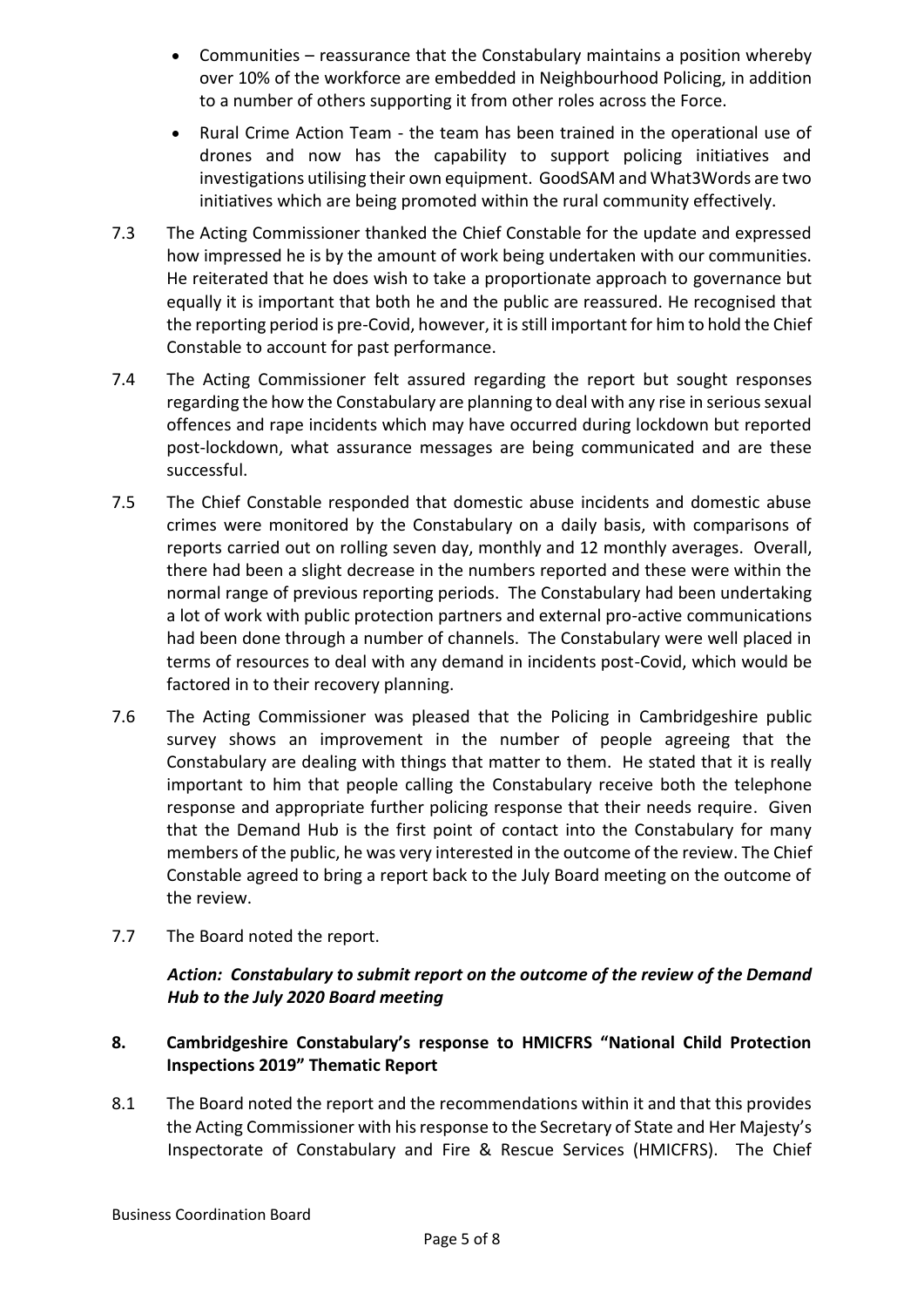- Communities reassurance that the Constabulary maintains a position whereby over 10% of the workforce are embedded in Neighbourhood Policing, in addition to a number of others supporting it from other roles across the Force.
- Rural Crime Action Team the team has been trained in the operational use of drones and now has the capability to support policing initiatives and investigations utilising their own equipment. GoodSAM and What3Words are two initiatives which are being promoted within the rural community effectively.
- 7.3 The Acting Commissioner thanked the Chief Constable for the update and expressed how impressed he is by the amount of work being undertaken with our communities. He reiterated that he does wish to take a proportionate approach to governance but equally it is important that both he and the public are reassured. He recognised that the reporting period is pre-Covid, however, it is still important for him to hold the Chief Constable to account for past performance.
- 7.4 The Acting Commissioner felt assured regarding the report but sought responses regarding the how the Constabulary are planning to deal with any rise in serious sexual offences and rape incidents which may have occurred during lockdown but reported post-lockdown, what assurance messages are being communicated and are these successful.
- 7.5 The Chief Constable responded that domestic abuse incidents and domestic abuse crimes were monitored by the Constabulary on a daily basis, with comparisons of reports carried out on rolling seven day, monthly and 12 monthly averages. Overall, there had been a slight decrease in the numbers reported and these were within the normal range of previous reporting periods. The Constabulary had been undertaking a lot of work with public protection partners and external pro-active communications had been done through a number of channels. The Constabulary were well placed in terms of resources to deal with any demand in incidents post-Covid, which would be factored in to their recovery planning.
- 7.6 The Acting Commissioner was pleased that the Policing in Cambridgeshire public survey shows an improvement in the number of people agreeing that the Constabulary are dealing with things that matter to them. He stated that it is really important to him that people calling the Constabulary receive both the telephone response and appropriate further policing response that their needs require. Given that the Demand Hub is the first point of contact into the Constabulary for many members of the public, he was very interested in the outcome of the review. The Chief Constable agreed to bring a report back to the July Board meeting on the outcome of the review.
- 7.7 The Board noted the report.

## *Action: Constabulary to submit report on the outcome of the review of the Demand Hub to the July 2020 Board meeting*

# **8. Cambridgeshire Constabulary's response to HMICFRS "National Child Protection Inspections 2019" Thematic Report**

8.1 The Board noted the report and the recommendations within it and that this provides the Acting Commissioner with his response to the Secretary of State and Her Majesty's Inspectorate of Constabulary and Fire & Rescue Services (HMICFRS). The Chief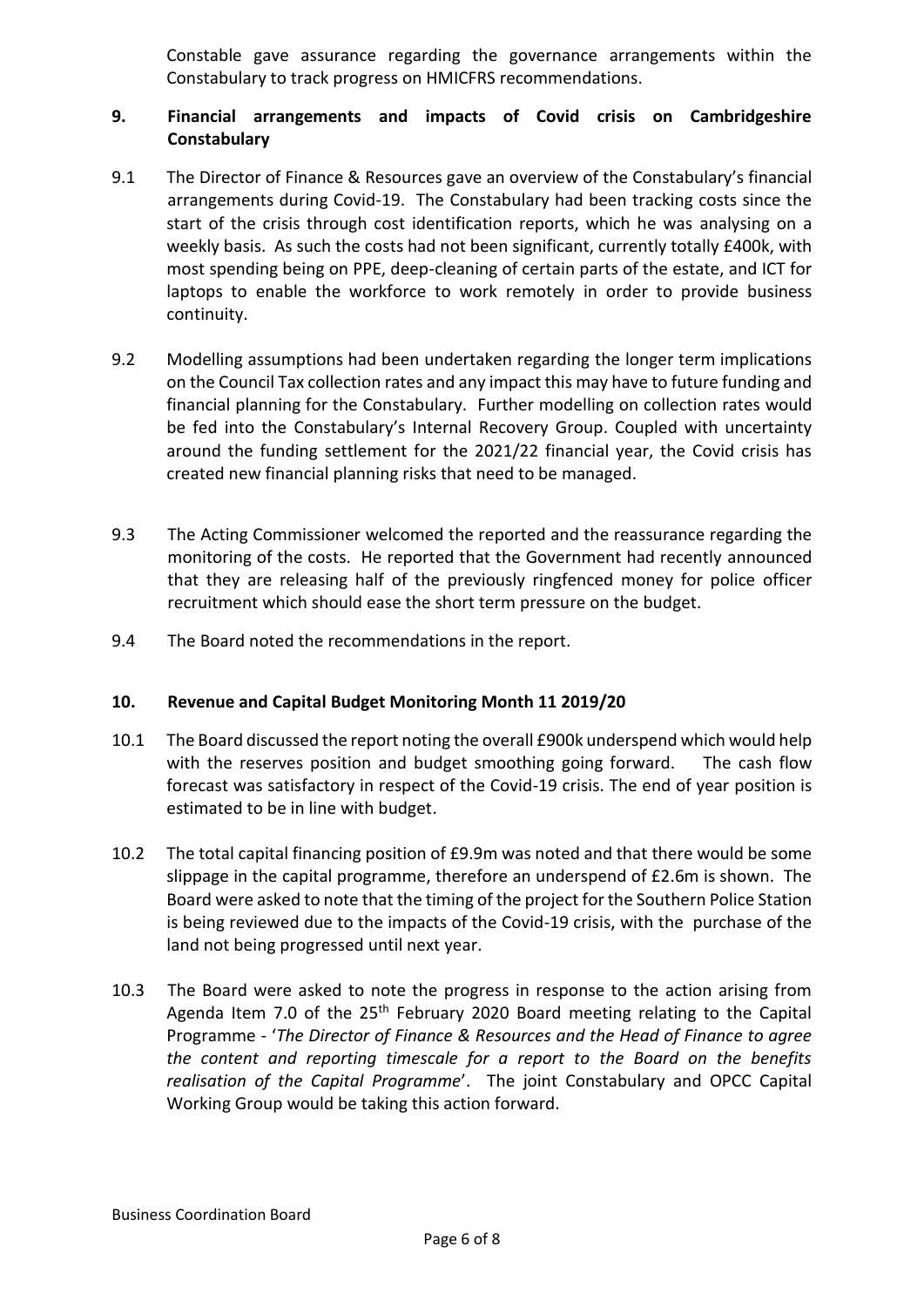Constable gave assurance regarding the governance arrangements within the Constabulary to track progress on HMICFRS recommendations.

## **9. Financial arrangements and impacts of Covid crisis on Cambridgeshire Constabulary**

- 9.1 The Director of Finance & Resources gave an overview of the Constabulary's financial arrangements during Covid-19. The Constabulary had been tracking costs since the start of the crisis through cost identification reports, which he was analysing on a weekly basis. As such the costs had not been significant, currently totally £400k, with most spending being on PPE, deep-cleaning of certain parts of the estate, and ICT for laptops to enable the workforce to work remotely in order to provide business continuity.
- 9.2 Modelling assumptions had been undertaken regarding the longer term implications on the Council Tax collection rates and any impact this may have to future funding and financial planning for the Constabulary. Further modelling on collection rates would be fed into the Constabulary's Internal Recovery Group. Coupled with uncertainty around the funding settlement for the 2021/22 financial year, the Covid crisis has created new financial planning risks that need to be managed.
- 9.3 The Acting Commissioner welcomed the reported and the reassurance regarding the monitoring of the costs. He reported that the Government had recently announced that they are releasing half of the previously ringfenced money for police officer recruitment which should ease the short term pressure on the budget.
- 9.4 The Board noted the recommendations in the report.

#### **10. Revenue and Capital Budget Monitoring Month 11 2019/20**

- 10.1 The Board discussed the report noting the overall £900k underspend which would help with the reserves position and budget smoothing going forward. The cash flow forecast was satisfactory in respect of the Covid-19 crisis. The end of year position is estimated to be in line with budget.
- 10.2 The total capital financing position of £9.9m was noted and that there would be some slippage in the capital programme, therefore an underspend of £2.6m is shown. The Board were asked to note that the timing of the project for the Southern Police Station is being reviewed due to the impacts of the Covid-19 crisis, with the purchase of the land not being progressed until next year.
- 10.3 The Board were asked to note the progress in response to the action arising from Agenda Item 7.0 of the  $25<sup>th</sup>$  February 2020 Board meeting relating to the Capital Programme - '*The Director of Finance & Resources and the Head of Finance to agree the content and reporting timescale for a report to the Board on the benefits realisation of the Capital Programme*'. The joint Constabulary and OPCC Capital Working Group would be taking this action forward.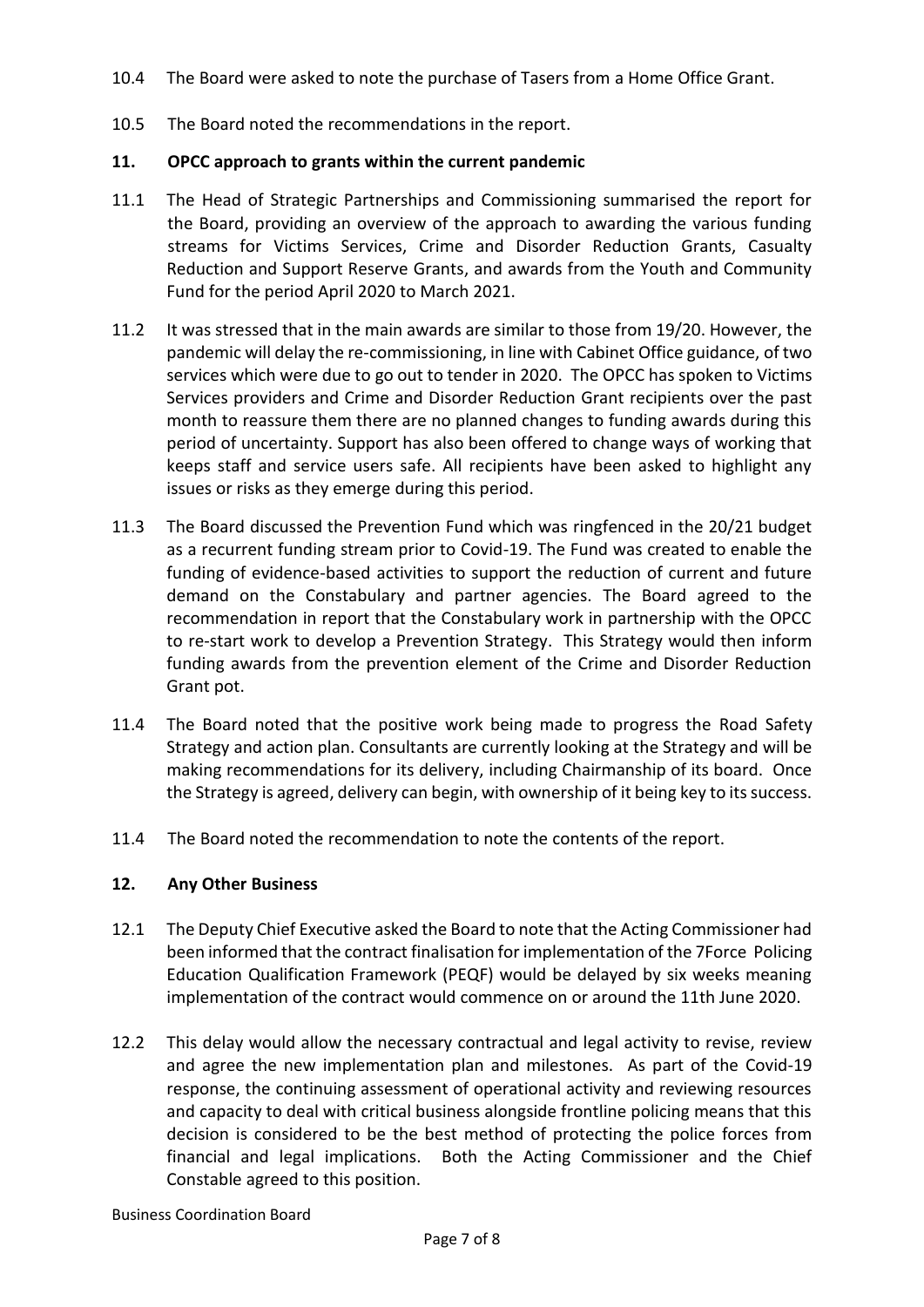- 10.4 The Board were asked to note the purchase of Tasers from a Home Office Grant.
- 10.5 The Board noted the recommendations in the report.

## **11. OPCC approach to grants within the current pandemic**

- 11.1 The Head of Strategic Partnerships and Commissioning summarised the report for the Board, providing an overview of the approach to awarding the various funding streams for Victims Services, Crime and Disorder Reduction Grants, Casualty Reduction and Support Reserve Grants, and awards from the Youth and Community Fund for the period April 2020 to March 2021.
- 11.2 It was stressed that in the main awards are similar to those from 19/20. However, the pandemic will delay the re-commissioning, in line with Cabinet Office guidance, of two services which were due to go out to tender in 2020. The OPCC has spoken to Victims Services providers and Crime and Disorder Reduction Grant recipients over the past month to reassure them there are no planned changes to funding awards during this period of uncertainty. Support has also been offered to change ways of working that keeps staff and service users safe. All recipients have been asked to highlight any issues or risks as they emerge during this period.
- 11.3 The Board discussed the Prevention Fund which was ringfenced in the 20/21 budget as a recurrent funding stream prior to Covid-19. The Fund was created to enable the funding of evidence-based activities to support the reduction of current and future demand on the Constabulary and partner agencies. The Board agreed to the recommendation in report that the Constabulary work in partnership with the OPCC to re-start work to develop a Prevention Strategy. This Strategy would then inform funding awards from the prevention element of the Crime and Disorder Reduction Grant pot.
- 11.4 The Board noted that the positive work being made to progress the Road Safety Strategy and action plan. Consultants are currently looking at the Strategy and will be making recommendations for its delivery, including Chairmanship of its board. Once the Strategy is agreed, delivery can begin, with ownership of it being key to its success.
- 11.4 The Board noted the recommendation to note the contents of the report.

#### **12. Any Other Business**

- 12.1 The Deputy Chief Executive asked the Board to note that the Acting Commissioner had been informed that the contract finalisation for implementation of the 7Force Policing Education Qualification Framework (PEQF) would be delayed by six weeks meaning implementation of the contract would commence on or around the 11th June 2020.
- 12.2 This delay would allow the necessary contractual and legal activity to revise, review and agree the new implementation plan and milestones. As part of the Covid-19 response, the continuing assessment of operational activity and reviewing resources and capacity to deal with critical business alongside frontline policing means that this decision is considered to be the best method of protecting the police forces from financial and legal implications. Both the Acting Commissioner and the Chief Constable agreed to this position.